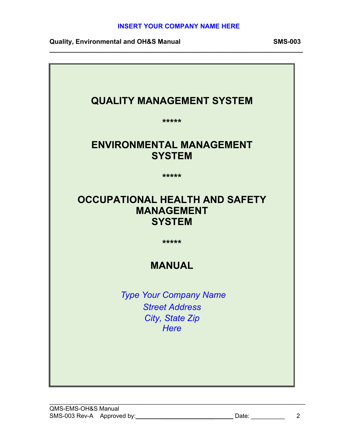### **INSERT YOUR COMPANY NAME HERE**

**Quality, Environmental and OH&S Manual SMS-003**



 $\_$  , and the contribution of the contribution of the contribution of the contribution of  $\mathcal{L}_\mathbf{z}$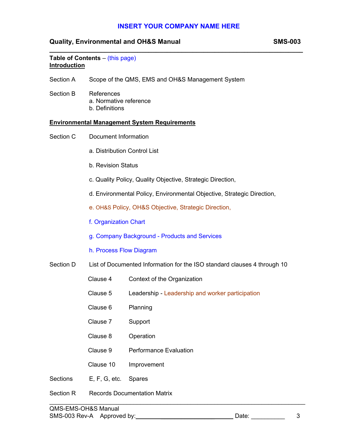# **INSERT YOUR COMPANY NAME HERE**

## **Quality, Environmental and OH&S Manual SMS-003**

| <b>Introduction</b> | Table of Contents - (this page)                                          |                                                           |  |  |
|---------------------|--------------------------------------------------------------------------|-----------------------------------------------------------|--|--|
| Section A           |                                                                          | Scope of the QMS, EMS and OH&S Management System          |  |  |
| Section B           | References<br>a. Normative reference<br>b. Definitions                   |                                                           |  |  |
|                     |                                                                          | <b>Environmental Management System Requirements</b>       |  |  |
| Section C           | <b>Document Information</b>                                              |                                                           |  |  |
|                     | a. Distribution Control List                                             |                                                           |  |  |
|                     | <b>b. Revision Status</b>                                                |                                                           |  |  |
|                     | c. Quality Policy, Quality Objective, Strategic Direction,               |                                                           |  |  |
|                     | d. Environmental Policy, Environmental Objective, Strategic Direction,   |                                                           |  |  |
|                     | e. OH&S Policy, OH&S Objective, Strategic Direction,                     |                                                           |  |  |
|                     | f. Organization Chart                                                    |                                                           |  |  |
|                     | g. Company Background - Products and Services                            |                                                           |  |  |
|                     | h. Process Flow Diagram                                                  |                                                           |  |  |
| Section D           | List of Documented Information for the ISO standard clauses 4 through 10 |                                                           |  |  |
|                     | Clause 4                                                                 | Context of the Organization                               |  |  |
|                     |                                                                          | Clause 5 Leadership - Leadership and worker participation |  |  |
|                     | Clause 6                                                                 | Planning                                                  |  |  |
|                     | Clause 7                                                                 | Support                                                   |  |  |
|                     | Clause 8                                                                 | Operation                                                 |  |  |
|                     | Clause 9                                                                 | <b>Performance Evaluation</b>                             |  |  |
|                     | Clause 10                                                                | Improvement                                               |  |  |
| <b>Sections</b>     | E, F, G, etc.                                                            | <b>Spares</b>                                             |  |  |
| <b>Section R</b>    | <b>Records Documentation Matrix</b>                                      |                                                           |  |  |

 $\_$  , and the contribution of the contribution of the contribution of the contribution of  $\mathcal{L}_\mathbf{z}$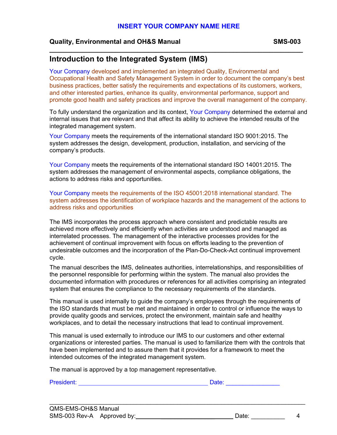**\_\_\_\_\_\_\_\_\_\_\_\_\_\_\_\_\_\_\_\_\_\_\_\_\_\_\_\_\_\_\_\_\_\_\_\_\_\_\_\_\_\_\_\_\_\_\_\_\_\_\_\_\_\_\_\_\_\_\_\_\_\_\_\_\_\_\_\_\_**

### **Quality, Environmental and OH&S Manual SMS-003**

## **Introduction to the Integrated System (IMS)**

Your Company developed and implemented an integrated Quality, Environmental and Occupational Health and Safety Management System in order to document the company's best business practices, better satisfy the requirements and expectations of its customers, workers, and other interested parties, enhance its quality, environmental performance, support and promote good health and safety practices and improve the overall management of the company.

To fully understand the organization and its context, Your Company determined the external and internal issues that are relevant and that affect its ability to achieve the intended results of the integrated management system.

Your Company meets the requirements of the international standard ISO 9001:2015. The system addresses the design, development, production, installation, and servicing of the company's products.

Your Company meets the requirements of the international standard ISO 14001:2015. The system addresses the management of environmental aspects, compliance obligations, the actions to address risks and opportunities.

Your Company meets the requirements of the ISO 45001:2018 international standard. The system addresses the identification of workplace hazards and the management of the actions to address risks and opportunities

The IMS incorporates the process approach where consistent and predictable results are achieved more effectively and efficiently when activities are understood and managed as interrelated processes. The management of the interactive processes provides for the achievement of continual improvement with focus on efforts leading to the prevention of undesirable outcomes and the incorporation of the Plan-Do-Check-Act continual improvement cycle.

The manual describes the IMS, delineates authorities, interrelationships, and responsibilities of the personnel responsible for performing within the system. The manual also provides the documented information with procedures or references for all activities comprising an integrated system that ensures the compliance to the necessary requirements of the standards.

This manual is used internally to guide the company's employees through the requirements of the ISO standards that must be met and maintained in order to control or influence the ways to provide quality goods and services, protect the environment, maintain safe and healthy workplaces, and to detail the necessary instructions that lead to continual improvement.

This manual is used externally to introduce our IMS to our customers and other external organizations or interested parties. The manual is used to familiarize them with the controls that have been implemented and to assure them that it provides for a framework to meet the intended outcomes of the integrated management system.

The manual is approved by a top management representative.

President: Date: \_\_\_\_\_\_\_\_\_\_\_\_\_\_\_\_

| QMS-EMS-OH&S Manual        |       |  |
|----------------------------|-------|--|
| SMS-003 Rev-A Approved by: | Date: |  |